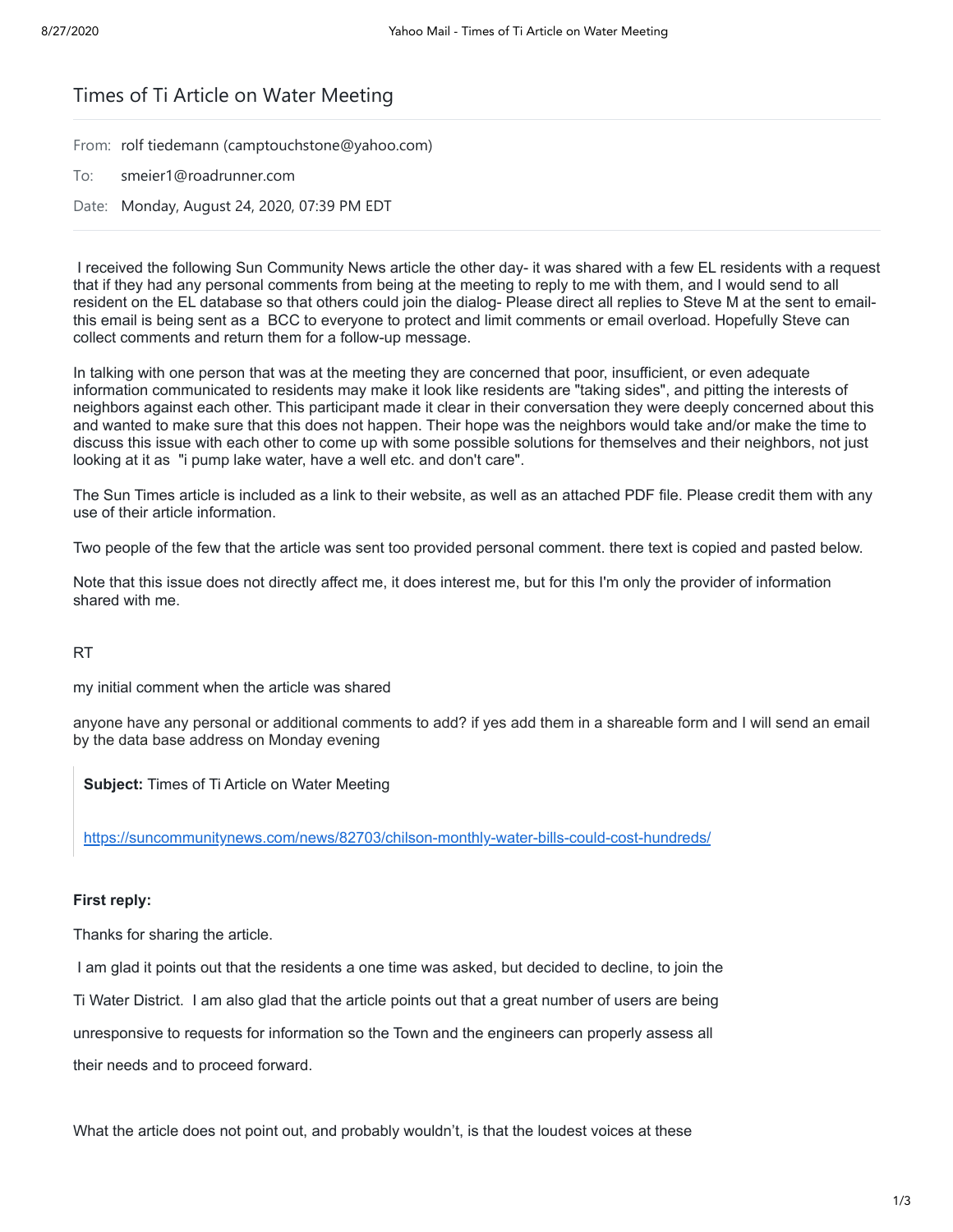# Times of Ti Article on Water Meeting

From: rolf tiedemann (camptouchstone@yahoo.com)

To: smeier1@roadrunner.com

Date: Monday, August 24, 2020, 07:39 PM EDT

 I received the following Sun Community News article the other day- it was shared with a few EL residents with a request that if they had any personal comments from being at the meeting to reply to me with them, and I would send to all resident on the EL database so that others could join the dialog- Please direct all replies to Steve M at the sent to emailthis email is being sent as a BCC to everyone to protect and limit comments or email overload. Hopefully Steve can collect comments and return them for a follow-up message.

In talking with one person that was at the meeting they are concerned that poor, insufficient, or even adequate information communicated to residents may make it look like residents are "taking sides", and pitting the interests of neighbors against each other. This participant made it clear in their conversation they were deeply concerned about this and wanted to make sure that this does not happen. Their hope was the neighbors would take and/or make the time to discuss this issue with each other to come up with some possible solutions for themselves and their neighbors, not just looking at it as "i pump lake water, have a well etc. and don't care".

The Sun Times article is included as a link to their website, as well as an attached PDF file. Please credit them with any use of their article information.

Two people of the few that the article was sent too provided personal comment. there text is copied and pasted below.

Note that this issue does not directly affect me, it does interest me, but for this I'm only the provider of information shared with me.

RT

my initial comment when the article was shared

anyone have any personal or additional comments to add? if yes add them in a shareable form and I will send an email by the data base address on Monday evening

**Subject:** Times of Ti Article on Water Meeting

<https://suncommunitynews.com/news/82703/chilson-monthly-water-bills-could-cost-hundreds/>

#### **First reply:**

Thanks for sharing the article.

 I am glad it points out that the residents a one time was asked, but decided to decline, to join the Ti Water District. I am also glad that the article points out that a great number of users are being unresponsive to requests for information so the Town and the engineers can properly assess all their needs and to proceed forward.

What the article does not point out, and probably wouldn't, is that the loudest voices at these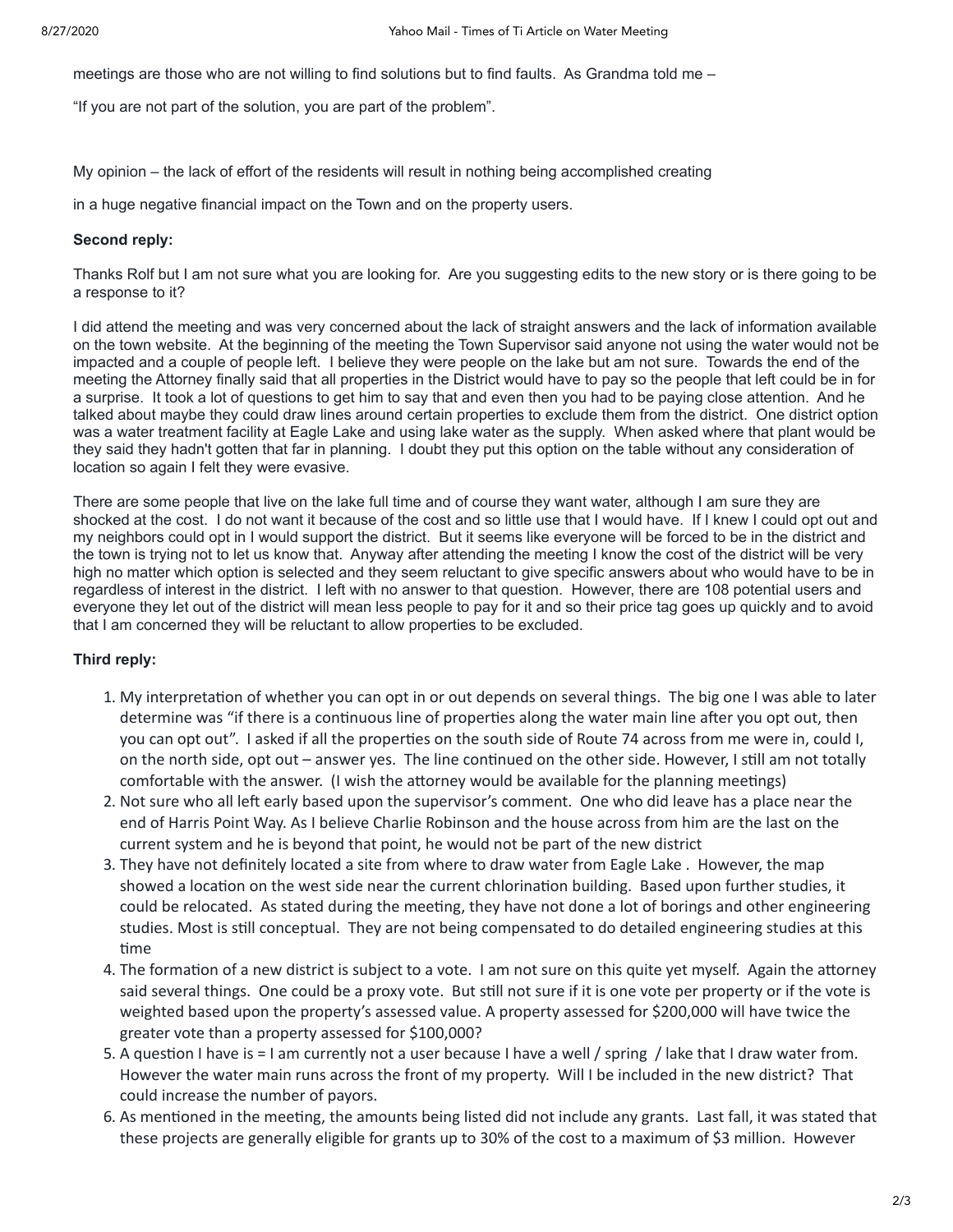meetings are those who are not willing to find solutions but to find faults. As Grandma told me –

"If you are not part of the solution, you are part of the problem".

My opinion – the lack of effort of the residents will result in nothing being accomplished creating

in a huge negative financial impact on the Town and on the property users.

## **Second reply:**

Thanks Rolf but I am not sure what you are looking for. Are you suggesting edits to the new story or is there going to be a response to it?

I did attend the meeting and was very concerned about the lack of straight answers and the lack of information available on the town website. At the beginning of the meeting the Town Supervisor said anyone not using the water would not be impacted and a couple of people left. I believe they were people on the lake but am not sure. Towards the end of the meeting the Attorney finally said that all properties in the District would have to pay so the people that left could be in for a surprise. It took a lot of questions to get him to say that and even then you had to be paying close attention. And he talked about maybe they could draw lines around certain properties to exclude them from the district. One district option was a water treatment facility at Eagle Lake and using lake water as the supply. When asked where that plant would be they said they hadn't gotten that far in planning. I doubt they put this option on the table without any consideration of location so again I felt they were evasive.

There are some people that live on the lake full time and of course they want water, although I am sure they are shocked at the cost. I do not want it because of the cost and so little use that I would have. If I knew I could opt out and my neighbors could opt in I would support the district. But it seems like everyone will be forced to be in the district and the town is trying not to let us know that. Anyway after attending the meeting I know the cost of the district will be very high no matter which option is selected and they seem reluctant to give specific answers about who would have to be in regardless of interest in the district. I left with no answer to that question. However, there are 108 potential users and everyone they let out of the district will mean less people to pay for it and so their price tag goes up quickly and to avoid that I am concerned they will be reluctant to allow properties to be excluded.

# **Third reply:**

- 1. My interpretation of whether you can opt in or out depends on several things. The big one I was able to later determine was "if there is a continuous line of properties along the water main line after you opt out, then you can opt out". I asked if all the properties on the south side of Route 74 across from me were in, could I, on the north side, opt out – answer yes. The line continued on the other side. However, I still am not totally comfortable with the answer. (I wish the attorney would be available for the planning meetings)
- 2. Not sure who all left early based upon the supervisor's comment. One who did leave has a place near the end of Harris Point Way. As I believe Charlie Robinson and the house across from him are the last on the current system and he is beyond that point, he would not be part of the new district
- 3. They have not definitely located a site from where to draw water from Eagle Lake . However, the map showed a location on the west side near the current chlorination building. Based upon further studies, it could be relocated. As stated during the meeting, they have not done a lot of borings and other engineering studies. Most is still conceptual. They are not being compensated to do detailed engineering studies at this time
- 4. The formation of a new district is subject to a vote. I am not sure on this quite yet myself. Again the attorney said several things. One could be a proxy vote. But still not sure if it is one vote per property or if the vote is weighted based upon the property's assessed value. A property assessed for \$200,000 will have twice the greater vote than a property assessed for \$100,000?
- 5. A question I have is  $=$  I am currently not a user because I have a well / spring / lake that I draw water from. However the water main runs across the front of my property. Will I be included in the new district? That could increase the number of payors.
- 6. As mentioned in the meeting, the amounts being listed did not include any grants. Last fall, it was stated that these projects are generally eligible for grants up to 30% of the cost to a maximum of \$3 million. However